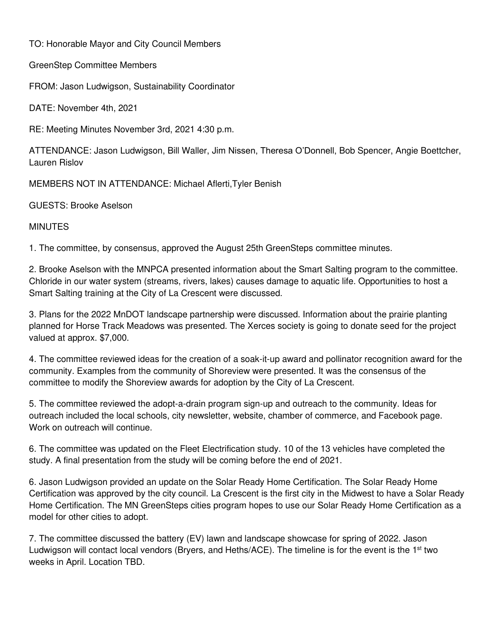TO: Honorable Mayor and City Council Members

GreenStep Committee Members

FROM: Jason Ludwigson, Sustainability Coordinator

DATE: November 4th, 2021

RE: Meeting Minutes November 3rd, 2021 4:30 p.m.

ATTENDANCE: Jason Ludwigson, Bill Waller, Jim Nissen, Theresa O'Donnell, Bob Spencer, Angie Boettcher, Lauren Rislov

MEMBERS NOT IN ATTENDANCE: Michael Aflerti,Tyler Benish

GUESTS: Brooke Aselson

## MINUTES

1. The committee, by consensus, approved the August 25th GreenSteps committee minutes.

2. Brooke Aselson with the MNPCA presented information about the Smart Salting program to the committee. Chloride in our water system (streams, rivers, lakes) causes damage to aquatic life. Opportunities to host a Smart Salting training at the City of La Crescent were discussed.

3. Plans for the 2022 MnDOT landscape partnership were discussed. Information about the prairie planting planned for Horse Track Meadows was presented. The Xerces society is going to donate seed for the project valued at approx. \$7,000.

4. The committee reviewed ideas for the creation of a soak-it-up award and pollinator recognition award for the community. Examples from the community of Shoreview were presented. It was the consensus of the committee to modify the Shoreview awards for adoption by the City of La Crescent.

5. The committee reviewed the adopt-a-drain program sign-up and outreach to the community. Ideas for outreach included the local schools, city newsletter, website, chamber of commerce, and Facebook page. Work on outreach will continue.

6. The committee was updated on the Fleet Electrification study. 10 of the 13 vehicles have completed the study. A final presentation from the study will be coming before the end of 2021.

6. Jason Ludwigson provided an update on the Solar Ready Home Certification. The Solar Ready Home Certification was approved by the city council. La Crescent is the first city in the Midwest to have a Solar Ready Home Certification. The MN GreenSteps cities program hopes to use our Solar Ready Home Certification as a model for other cities to adopt.

7. The committee discussed the battery (EV) lawn and landscape showcase for spring of 2022. Jason Ludwigson will contact local vendors (Bryers, and Heths/ACE). The timeline is for the event is the 1<sup>st</sup> two weeks in April. Location TBD.